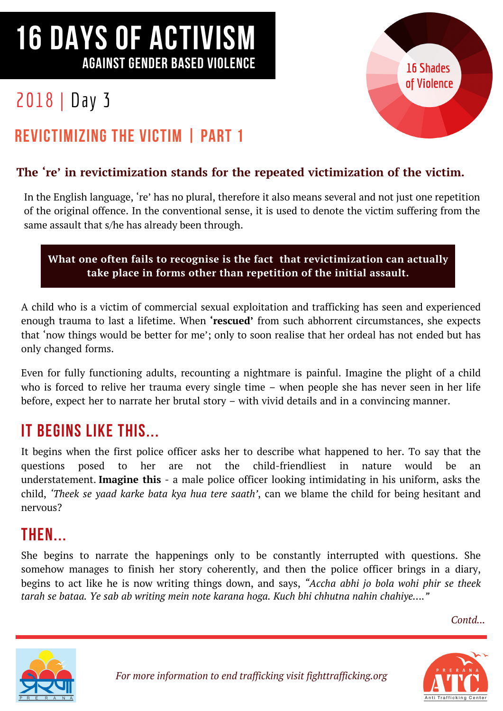# 16 DAYS OF ACTIVISM AGAINST GENDER BASED VIOLENCE

# 2018 | Day 3



## REVICTIMIZING THE VICTIM | PART 1

#### **The 're' in revictimization stands for the repeated victimization of the victim.**

In the English language, 're' has no plural, therefore it also means several and not just one repetition of the original offence. In the conventional sense, it is used to denote the victim suffering from the same assault that s/he has already been through.

#### **What one often fails to recognise is the fact that revictimization can actually take place in forms other than repetition of the initial assault.**

A child who is a victim of commercial sexual exploitation and trafficking has seen and experienced enough trauma to last a lifetime. When **'rescued'** from such abhorrent circumstances, she expects that 'now things would be better for me'; only to soon realise that her ordeal has not ended but has only changed forms.

Even for fully functioning adults, recounting a nightmare is painful. Imagine the plight of a child who is forced to relive her trauma every single time – when people she has never seen in her life before, expect her to narrate her brutal story – with vivid details and in a convincing manner.

## IT BEGINS LIKE THIS

It begins when the first police officer asks her to describe what happened to her. To say that the questions posed to her are not the child-friendliest in nature would be an understatement. **Imagine this** - a male police officer looking intimidating in his uniform, asks the child, *'Theek se yaad karke bata kya hua tere saath'*, can we blame the child for being hesitant and nervous?

## **THEN.**

She begins to narrate the happenings only to be constantly interrupted with questions. She somehow manages to finish her story coherently, and then the police officer brings in a diary, begins to act like he is now writing things down, and says, *"Accha abhi jo bola wohi phir se theek tarah se bataa. Ye sab ab writing mein note karana hoga. Kuch bhi chhutna nahin chahiye…."*

*Contd...*